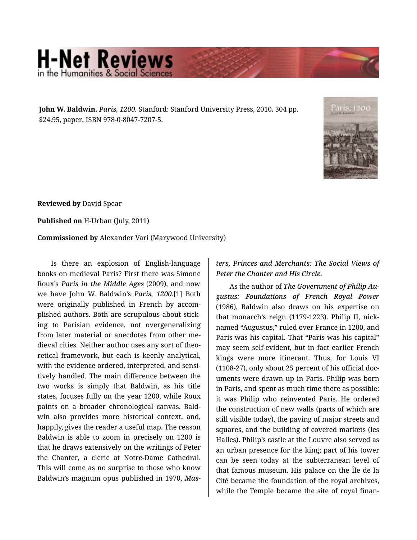## **H-Net Reviews** in the Humanities & Social Scier

**John W. Baldwin.** *Paris, 1200.* Stanford: Stanford University Press, 2010. 304 pp. \$24.95, paper, ISBN 978-0-8047-7207-5.



**Reviewed by** David Spear

**Published on** H-Urban (July, 2011)

**Commissioned by** Alexander Vari (Marywood University)

Is there an explosion of English-language books on medieval Paris? First there was Simone Roux's *Paris in the Middle Ages* (2009), and now we have John W. Baldwin's *Paris, 1200*.[1] Both were originally published in French by accomplished authors. Both are scrupulous about stick‐ ing to Parisian evidence, not overgeneralizing from later material or anecdotes from other me‐ dieval cities. Neither author uses any sort of theo‐ retical framework, but each is keenly analytical, with the evidence ordered, interpreted, and sensitively handled. The main difference between the two works is simply that Baldwin, as his title states, focuses fully on the year 1200, while Roux paints on a broader chronological canvas. Bald‐ win also provides more historical context, and, happily, gives the reader a useful map. The reason Baldwin is able to zoom in precisely on 1200 is that he draws extensively on the writings of Peter the Chanter, a cleric at Notre-Dame Cathedral. This will come as no surprise to those who know Baldwin's magnum opus published in 1970, *Mas‐*

*ters, Princes and Merchants: The Social Views of Peter the Chanter and His Circle.*

As the author of *The Government of Philip Au‐ gustus: Foundations of French Royal Power* (1986), Baldwin also draws on his expertise on that monarch's reign (1179-1223). Philip II, nick‐ named "Augustus," ruled over France in 1200, and Paris was his capital. That "Paris was his capital" may seem self-evident, but in fact earlier French kings were more itinerant. Thus, for Louis VI (1108-27), only about 25 percent of his official doc‐ uments were drawn up in Paris. Philip was born in Paris, and spent as much time there as possible: it was Philip who reinvented Paris. He ordered the construction of new walls (parts of which are still visible today), the paving of major streets and squares, and the building of covered markets (les Halles). Philip's castle at the Louvre also served as an urban presence for the king; part of his tower can be seen today at the subterranean level of that famous museum. His palace on the Île de la Cité became the foundation of the royal archives, while the Temple became the site of royal finan‐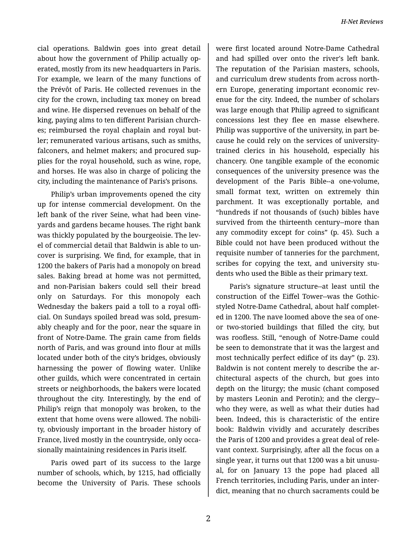cial operations. Baldwin goes into great detail about how the government of Philip actually op‐ erated, mostly from its new headquarters in Paris. For example, we learn of the many functions of the Prévôt of Paris. He collected revenues in the city for the crown, including tax money on bread and wine. He dispersed revenues on behalf of the king, paying alms to ten different Parisian church‐ es; reimbursed the royal chaplain and royal but‐ ler; remunerated various artisans, such as smiths, falconers, and helmet makers; and procured sup‐ plies for the royal household, such as wine, rope, and horses. He was also in charge of policing the city, including the maintenance of Paris's prisons.

Philip's urban improvements opened the city up for intense commercial development. On the left bank of the river Seine, what had been vine‐ yards and gardens became houses. The right bank was thickly populated by the bourgeoisie. The lev‐ el of commercial detail that Baldwin is able to un‐ cover is surprising. We find, for example, that in 1200 the bakers of Paris had a monopoly on bread sales. Baking bread at home was not permitted, and non-Parisian bakers could sell their bread only on Saturdays. For this monopoly each Wednesday the bakers paid a toll to a royal offi‐ cial. On Sundays spoiled bread was sold, presum‐ ably cheaply and for the poor, near the square in front of Notre-Dame. The grain came from fields north of Paris, and was ground into flour at mills located under both of the city's bridges, obviously harnessing the power of flowing water. Unlike other guilds, which were concentrated in certain streets or neighborhoods, the bakers were located throughout the city. Interestingly, by the end of Philip's reign that monopoly was broken, to the extent that home ovens were allowed. The nobili‐ ty, obviously important in the broader history of France, lived mostly in the countryside, only occa‐ sionally maintaining residences in Paris itself.

Paris owed part of its success to the large number of schools, which, by 1215, had officially become the University of Paris. These schools were first located around Notre-Dame Cathedral and had spilled over onto the river's left bank. The reputation of the Parisian masters, schools, and curriculum drew students from across north‐ ern Europe, generating important economic revenue for the city. Indeed, the number of scholars was large enough that Philip agreed to significant concessions lest they flee en masse elsewhere. Philip was supportive of the university, in part be‐ cause he could rely on the services of universitytrained clerics in his household, especially his chancery. One tangible example of the economic consequences of the university presence was the development of the Paris Bible--a one-volume, small format text, written on extremely thin parchment. It was exceptionally portable, and "hundreds if not thousands of (such) bibles have survived from the thirteenth century--more than any commodity except for coins" (p. 45). Such a Bible could not have been produced without the requisite number of tanneries for the parchment, scribes for copying the text, and university stu‐ dents who used the Bible as their primary text.

Paris's signature structure--at least until the construction of the Eiffel Tower--was the Gothicstyled Notre-Dame Cathedral, about half complet‐ ed in 1200. The nave loomed above the sea of oneor two-storied buildings that filled the city, but was roofless. Still, "enough of Notre-Dame could be seen to demonstrate that it was the largest and most technically perfect edifice of its day" (p. 23). Baldwin is not content merely to describe the ar‐ chitectural aspects of the church, but goes into depth on the liturgy; the music (chant composed by masters Leonin and Perotin); and the clergy- who they were, as well as what their duties had been. Indeed, this is characteristic of the entire book: Baldwin vividly and accurately describes the Paris of 1200 and provides a great deal of rele‐ vant context. Surprisingly, after all the focus on a single year, it turns out that 1200 was a bit unusu‐ al, for on January 13 the pope had placed all French territories, including Paris, under an inter‐ dict, meaning that no church sacraments could be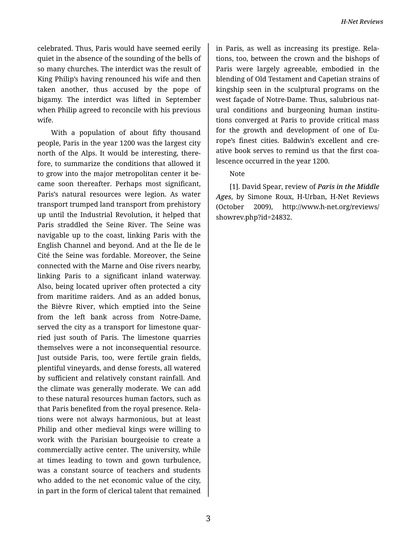celebrated. Thus, Paris would have seemed eerily quiet in the absence of the sounding of the bells of so many churches. The interdict was the result of King Philip's having renounced his wife and then taken another, thus accused by the pope of bigamy. The interdict was lifted in September when Philip agreed to reconcile with his previous wife.

With a population of about fifty thousand people, Paris in the year 1200 was the largest city north of the Alps. It would be interesting, there‐ fore, to summarize the conditions that allowed it to grow into the major metropolitan center it be‐ came soon thereafter. Perhaps most significant, Paris's natural resources were legion. As water transport trumped land transport from prehistory up until the Industrial Revolution, it helped that Paris straddled the Seine River. The Seine was navigable up to the coast, linking Paris with the English Channel and beyond. And at the Île de le Cité the Seine was fordable. Moreover, the Seine connected with the Marne and Oise rivers nearby, linking Paris to a significant inland waterway. Also, being located upriver often protected a city from maritime raiders. And as an added bonus, the Bièvre River, which emptied into the Seine from the left bank across from Notre-Dame, served the city as a transport for limestone quarried just south of Paris. The limestone quarries themselves were a not inconsequential resource. Just outside Paris, too, were fertile grain fields, plentiful vineyards, and dense forests, all watered by sufficient and relatively constant rainfall. And the climate was generally moderate. We can add to these natural resources human factors, such as that Paris benefited from the royal presence. Rela‐ tions were not always harmonious, but at least Philip and other medieval kings were willing to work with the Parisian bourgeoisie to create a commercially active center. The university, while at times leading to town and gown turbulence, was a constant source of teachers and students who added to the net economic value of the city, in part in the form of clerical talent that remained

in Paris, as well as increasing its prestige. Rela‐ tions, too, between the crown and the bishops of Paris were largely agreeable, embodied in the blending of Old Testament and Capetian strains of kingship seen in the sculptural programs on the west façade of Notre-Dame. Thus, salubrious nat‐ ural conditions and burgeoning human institutions converged at Paris to provide critical mass for the growth and development of one of Eu‐ rope's finest cities. Baldwin's excellent and cre‐ ative book serves to remind us that the first coa‐ lescence occurred in the year 1200.

## Note

[1]. David Spear, review of *Paris in the Middle Ages*, by Simone Roux, H-Urban, H-Net Reviews (October 2009), http://www.h-net.org/reviews/ showrev.php?id=24832.